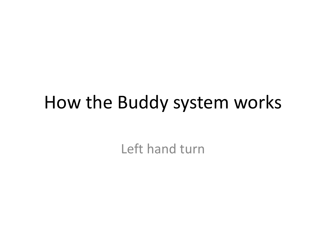## How the Buddy system works

Left hand turn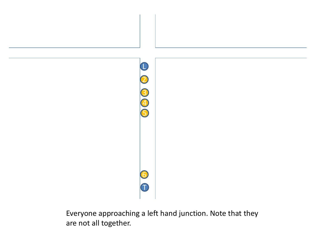

Everyone approaching a left hand junction. Note that they are not all together.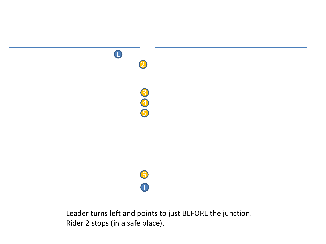

Leader turns left and points to just BEFORE the junction. Rider 2 stops (in a safe place).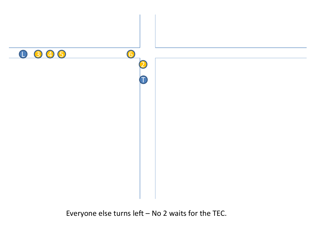

Everyone else turns left – No 2 waits for the TEC.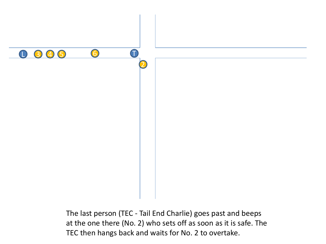

The last person (TEC - Tail End Charlie) goes past and beeps at the one there (No. 2) who sets off as soon as it is safe. The TEC then hangs back and waits for No. 2 to overtake.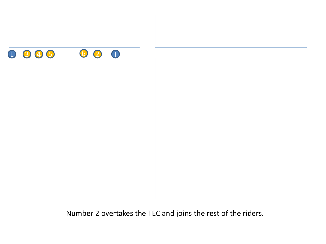

Number 2 overtakes the TEC and joins the rest of the riders.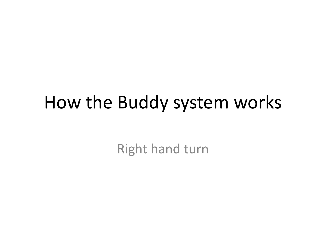## How the Buddy system works

Right hand turn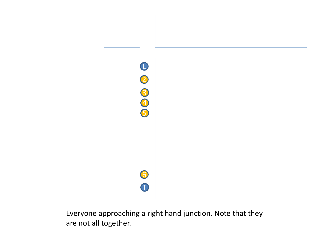

Everyone approaching a right hand junction. Note that they are not all together.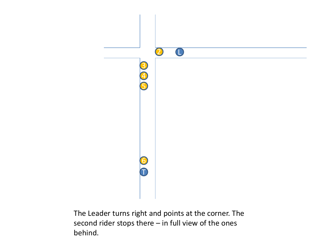

The Leader turns right and points at the corner. The second rider stops there – in full view of the ones behind.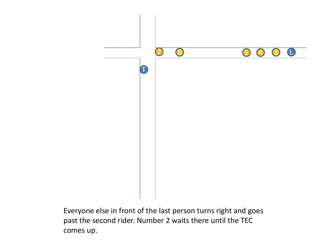

Everyone else in front of the last person turns right and goes past the second rider. Number 2 waits there until the TEC comes up.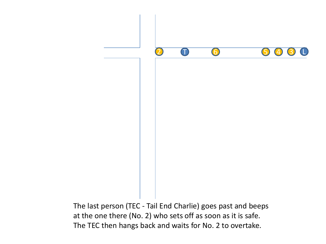

The TEC then hangs back and waits for No. 2 to overtake.